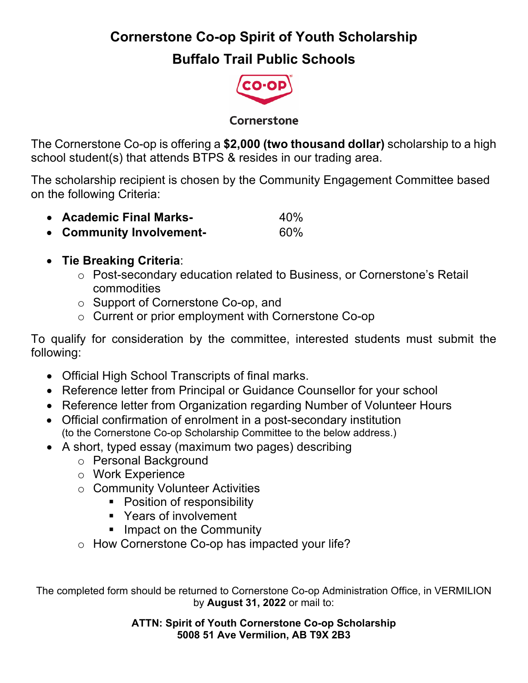## **Cornerstone Co-op Spirit of Youth Scholarship**

## **Buffalo Trail Public Schools**



#### Cornerstone

The Cornerstone Co-op is offering a **\$2,000 (two thousand dollar)** scholarship to a high school student(s) that attends BTPS & resides in our trading area.

The scholarship recipient is chosen by the Community Engagement Committee based on the following Criteria:

- **Academic Final Marks-** 40%
- **Community Involvement-** 60%

### • **Tie Breaking Criteria**:

- o Post-secondary education related to Business, or Cornerstone's Retail commodities
- o Support of Cornerstone Co-op, and
- o Current or prior employment with Cornerstone Co-op

To qualify for consideration by the committee, interested students must submit the following:

- Official High School Transcripts of final marks.
- Reference letter from Principal or Guidance Counsellor for your school
- Reference letter from Organization regarding Number of Volunteer Hours
- Official confirmation of enrolment in a post-secondary institution (to the Cornerstone Co-op Scholarship Committee to the below address.)
- A short, typed essay (maximum two pages) describing
	- o Personal Background
	- o Work Experience
	- o Community Volunteer Activities
		- Position of responsibility
		- Years of involvement
		- Impact on the Community
	- o How Cornerstone Co-op has impacted your life?

The completed form should be returned to Cornerstone Co-op Administration Office, in VERMILION by **August 31, 2022** or mail to:

> **ATTN: Spirit of Youth Cornerstone Co-op Scholarship 5008 51 Ave Vermilion, AB T9X 2B3**